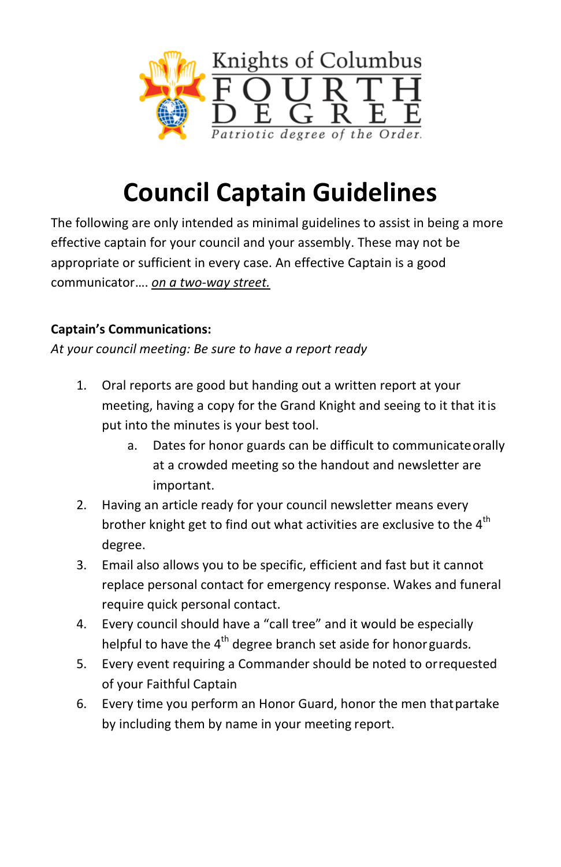

# **Council Captain Guidelines**

The following are only intended as minimal guidelines to assist in being a more effective captain for your council and your assembly. These may not be appropriate or sufficient in every case. An effective Captain is a good communicator…. *on a two-way street.*

## **Captain's Communications:**

*At your council meeting: Be sure to have a report ready*

- 1. Oral reports are good but handing out a written report at your meeting, having a copy for the Grand Knight and seeing to it that itis put into the minutes is your best tool.
	- a. Dates for honor guards can be difficult to communicateorally at a crowded meeting so the handout and newsletter are important.
- 2. Having an article ready for your council newsletter means every brother knight get to find out what activities are exclusive to the  $4<sup>th</sup>$ degree.
- 3. Email also allows you to be specific, efficient and fast but it cannot replace personal contact for emergency response. Wakes and funeral require quick personal contact.
- 4. Every council should have a "call tree" and it would be especially helpful to have the 4<sup>th</sup> degree branch set aside for honorguards.
- 5. Every event requiring a Commander should be noted to orrequested of your Faithful Captain
- 6. Every time you perform an Honor Guard, honor the men thatpartake by including them by name in your meeting report.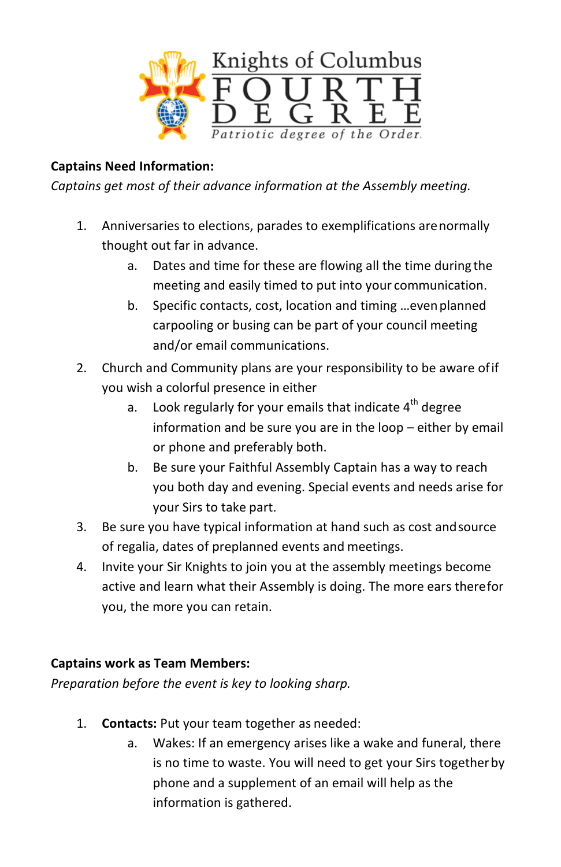

#### **Captains Need Information:**

*Captains get most of their advance information at the Assembly meeting.*

- 1. Anniversaries to elections, parades to exemplifications arenormally thought out far in advance.
	- a. Dates and time for these are flowing all the time during the meeting and easily timed to put into your communication.
	- b. Specific contacts, cost, location and timing …evenplanned carpooling or busing can be part of your council meeting and/or email communications.
- 2. Church and Community plans are your responsibility to be aware ofif you wish a colorful presence in either
	- a. Look regularly for your emails that indicate  $4^{th}$  degree information and be sure you are in the loop – either by email or phone and preferably both.
	- b. Be sure your Faithful Assembly Captain has a way to reach you both day and evening. Special events and needs arise for your Sirs to take part.
- 3. Be sure you have typical information at hand such as cost andsource of regalia, dates of preplanned events and meetings.
- 4. Invite your Sir Knights to join you at the assembly meetings become active and learn what their Assembly is doing. The more ears therefor you, the more you can retain.

#### **Captains work as Team Members:**

*Preparation before the event is key to looking sharp.*

- 1. **Contacts:** Put your team together as needed:
	- a. Wakes: If an emergency arises like a wake and funeral, there is no time to waste. You will need to get your Sirs togetherby phone and a supplement of an email will help as the information is gathered.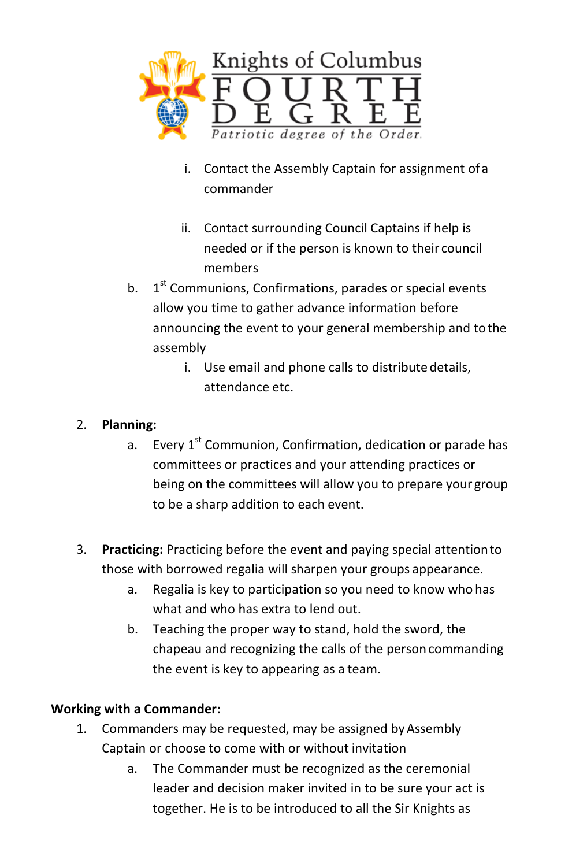

- i. Contact the Assembly Captain for assignment ofa commander
- ii. Contact surrounding Council Captains if help is needed or if the person is known to their council members
- b.  $1<sup>st</sup>$  Communions, Confirmations, parades or special events allow you time to gather advance information before announcing the event to your general membership and tothe assembly
	- i. Use email and phone calls to distribute details, attendance etc.

#### 2. **Planning:**

- a. Every  $1^{st}$  Communion, Confirmation, dedication or parade has committees or practices and your attending practices or being on the committees will allow you to prepare your group to be a sharp addition to each event.
- 3. **Practicing:** Practicing before the event and paying special attentionto those with borrowed regalia will sharpen your groups appearance.
	- a. Regalia is key to participation so you need to know who has what and who has extra to lend out.
	- b. Teaching the proper way to stand, hold the sword, the chapeau and recognizing the calls of the person commanding the event is key to appearing as a team.

## **Working with a Commander:**

- 1. Commanders may be requested, may be assigned byAssembly Captain or choose to come with or without invitation
	- a. The Commander must be recognized as the ceremonial leader and decision maker invited in to be sure your act is together. He is to be introduced to all the Sir Knights as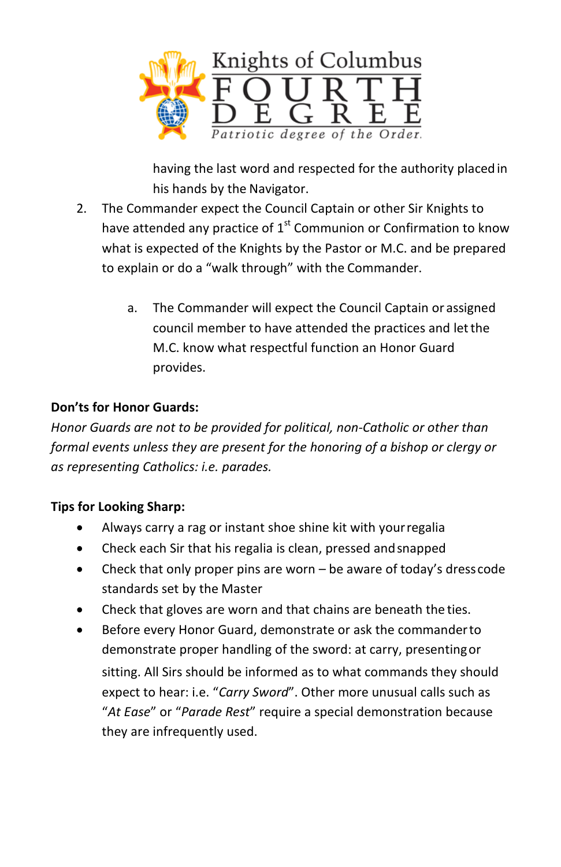

having the last word and respected for the authority placedin his hands by the Navigator.

- 2. The Commander expect the Council Captain or other Sir Knights to have attended any practice of  $1<sup>st</sup>$  Communion or Confirmation to know what is expected of the Knights by the Pastor or M.C. and be prepared to explain or do a "walk through" with the Commander.
	- a. The Commander will expect the Council Captain or assigned council member to have attended the practices and letthe M.C. know what respectful function an Honor Guard provides.

## **Don'ts for Honor Guards:**

*Honor Guards are not to be provided for political, non-Catholic or other than formal events unless they are present for the honoring of a bishop or clergy or as representing Catholics: i.e. parades.*

## **Tips for Looking Sharp:**

- Always carry a rag or instant shoe shine kit with yourregalia
- Check each Sir that his regalia is clean, pressed andsnapped
- Check that only proper pins are worn  $-$  be aware of today's dresscode standards set by the Master
- Check that gloves are worn and that chains are beneath the ties.
- Before every Honor Guard, demonstrate or ask the commanderto demonstrate proper handling of the sword: at carry, presentingor sitting. All Sirs should be informed as to what commands they should expect to hear: i.e. "*Carry Sword*". Other more unusual calls such as "*At Ease*" or "*Parade Rest*" require a special demonstration because they are infrequently used.